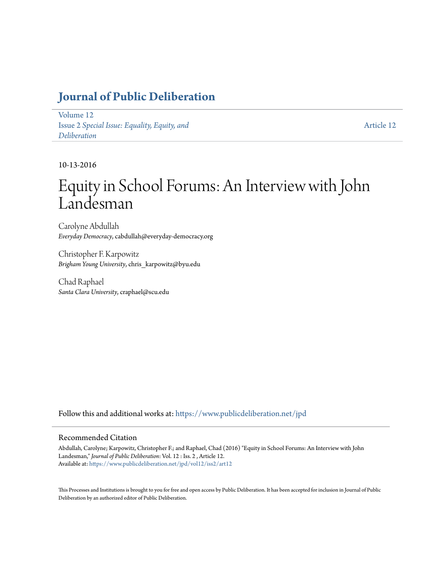## **[Journal of Public Deliberation](https://www.publicdeliberation.net/jpd?utm_source=www.publicdeliberation.net%2Fjpd%2Fvol12%2Fiss2%2Fart12&utm_medium=PDF&utm_campaign=PDFCoverPages)**

[Volume 12](https://www.publicdeliberation.net/jpd/vol12?utm_source=www.publicdeliberation.net%2Fjpd%2Fvol12%2Fiss2%2Fart12&utm_medium=PDF&utm_campaign=PDFCoverPages) Issue 2 *[Special Issue: Equality, Equity, and](https://www.publicdeliberation.net/jpd/vol12/iss2?utm_source=www.publicdeliberation.net%2Fjpd%2Fvol12%2Fiss2%2Fart12&utm_medium=PDF&utm_campaign=PDFCoverPages) [Deliberation](https://www.publicdeliberation.net/jpd/vol12/iss2?utm_source=www.publicdeliberation.net%2Fjpd%2Fvol12%2Fiss2%2Fart12&utm_medium=PDF&utm_campaign=PDFCoverPages)*

[Article 12](https://www.publicdeliberation.net/jpd/vol12/iss2/art12?utm_source=www.publicdeliberation.net%2Fjpd%2Fvol12%2Fiss2%2Fart12&utm_medium=PDF&utm_campaign=PDFCoverPages)

10-13-2016

# Equity in School Forums: An Interview with John Landesman

Carolyne Abdullah *Everyday Democracy*, cabdullah@everyday-democracy.org

Christopher F. Karpowitz *Brigham Young University*, chris\_karpowitz@byu.edu

Chad Raphael *Santa Clara University*, craphael@scu.edu

Follow this and additional works at: [https://www.publicdeliberation.net/jpd](https://www.publicdeliberation.net/jpd?utm_source=www.publicdeliberation.net%2Fjpd%2Fvol12%2Fiss2%2Fart12&utm_medium=PDF&utm_campaign=PDFCoverPages)

#### Recommended Citation

Abdullah, Carolyne; Karpowitz, Christopher F.; and Raphael, Chad (2016) "Equity in School Forums: An Interview with John Landesman," *Journal of Public Deliberation*: Vol. 12 : Iss. 2 , Article 12. Available at: [https://www.publicdeliberation.net/jpd/vol12/iss2/art12](https://www.publicdeliberation.net/jpd/vol12/iss2/art12?utm_source=www.publicdeliberation.net%2Fjpd%2Fvol12%2Fiss2%2Fart12&utm_medium=PDF&utm_campaign=PDFCoverPages)

This Processes and Institutions is brought to you for free and open access by Public Deliberation. It has been accepted for inclusion in Journal of Public Deliberation by an authorized editor of Public Deliberation.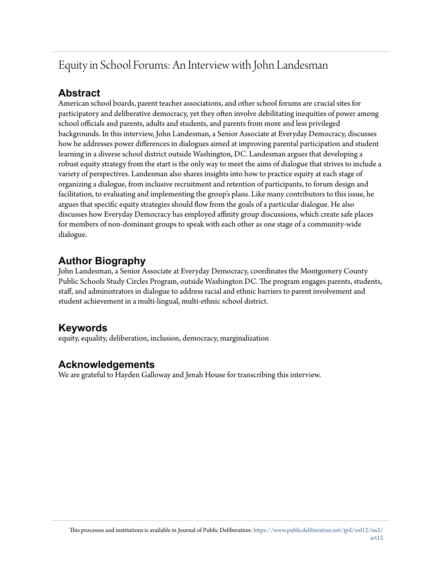## Equity in School Forums: An Interview with John Landesman

### **Abstract**

American school boards, parent teacher associations, and other school forums are crucial sites for participatory and deliberative democracy, yet they often involve debilitating inequities of power among school officials and parents, adults and students, and parents from more and less privileged backgrounds. In this interview, John Landesman, a Senior Associate at Everyday Democracy, discusses how he addresses power differences in dialogues aimed at improving parental participation and student learning in a diverse school district outside Washington, DC. Landesman argues that developing a robust equity strategy from the start is the only way to meet the aims of dialogue that strives to include a variety of perspectives. Landesman also shares insights into how to practice equity at each stage of organizing a dialogue, from inclusive recruitment and retention of participants, to forum design and facilitation, to evaluating and implementing the group's plans. Like many contributors to this issue, he argues that specific equity strategies should flow from the goals of a particular dialogue. He also discusses how Everyday Democracy has employed affinity group discussions, which create safe places for members of non-dominant groups to speak with each other as one stage of a community-wide dialogue.

## **Author Biography**

John Landesman, a Senior Associate at Everyday Democracy, coordinates the Montgomery County Public Schools Study Circles Program, outside Washington DC. The program engages parents, students, staff, and administrators in dialogue to address racial and ethnic barriers to parent involvement and student achievement in a multi-lingual, multi-ethnic school district.

## **Keywords**

equity, equality, deliberation, inclusion, democracy, marginalization

## **Acknowledgements**

We are grateful to Hayden Galloway and Jenah House for transcribing this interview.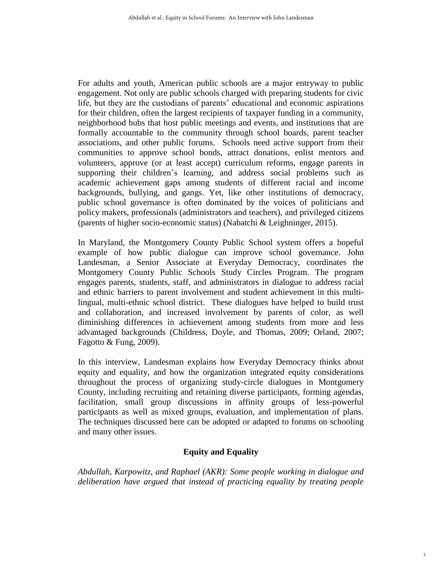For adults and youth, American public schools are a major entryway to public engagement. Not only are public schools charged with preparing students for civic life, but they are the custodians of parents' educational and economic aspirations for their children, often the largest recipients of taxpayer funding in a community, neighborhood hubs that host public meetings and events, and institutions that are formally accountable to the community through school boards, parent teacher associations, and other public forums. Schools need active support from their communities to approve school bonds, attract donations, enlist mentors and volunteers, approve (or at least accept) curriculum reforms, engage parents in supporting their children's learning, and address social problems such as academic achievement gaps among students of different racial and income backgrounds, bullying, and gangs. Yet, like other institutions of democracy, public school governance is often dominated by the voices of politicians and policy makers, professionals (administrators and teachers), and privileged citizens (parents of higher socio-economic status) (Nabatchi & Leighninger, 2015).

In Maryland, the Montgomery County Public School system offers a hopeful example of how public dialogue can improve school governance. John Landesman, a Senior Associate at Everyday Democracy, coordinates the Montgomery County Public Schools Study Circles Program. The program engages parents, students, staff, and administrators in dialogue to address racial and ethnic barriers to parent involvement and student achievement in this multilingual, multi-ethnic school district. These dialogues have helped to build trust and collaboration, and increased involvement by parents of color, as well diminishing differences in achievement among students from more and less advantaged backgrounds (Childress, Doyle, and Thomas, 2009; Orland, 2007; Fagotto & Fung, 2009).

In this interview, Landesman explains how Everyday Democracy thinks about equity and equality, and how the organization integrated equity considerations throughout the process of organizing study-circle dialogues in Montgomery County, including recruiting and retaining diverse participants, forming agendas, facilitation, small group discussions in affinity groups of less-powerful participants as well as mixed groups, evaluation, and implementation of plans. The techniques discussed here can be adopted or adapted to forums on schooling and many other issues.

#### **Equity and Equality**

*Abdullah, Karpowitz, and Raphael (AKR): Some people working in dialogue and deliberation have argued that instead of practicing equality by treating people* 

1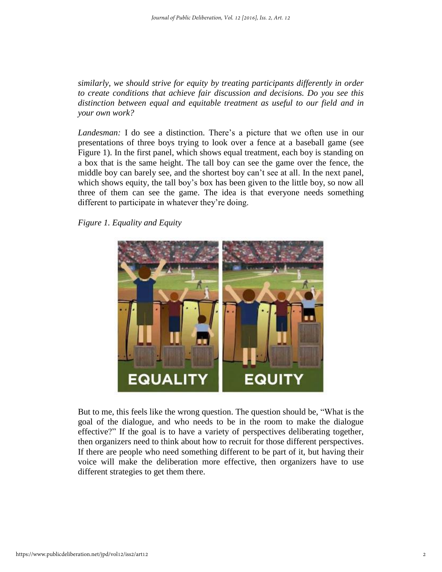*similarly, we should strive for equity by treating participants differently in order to create conditions that achieve fair discussion and decisions. Do you see this distinction between equal and equitable treatment as useful to our field and in your own work?*

*Landesman:* I do see a distinction. There's a picture that we often use in our presentations of three boys trying to look over a fence at a baseball game (see Figure 1). In the first panel, which shows equal treatment, each boy is standing on a box that is the same height. The tall boy can see the game over the fence, the middle boy can barely see, and the shortest boy can't see at all. In the next panel, which shows equity, the tall boy's box has been given to the little boy, so now all three of them can see the game. The idea is that everyone needs something different to participate in whatever they're doing.

*Figure 1. Equality and Equity*



But to me, this feels like the wrong question. The question should be, "What is the goal of the dialogue, and who needs to be in the room to make the dialogue effective?" If the goal is to have a variety of perspectives deliberating together, then organizers need to think about how to recruit for those different perspectives. If there are people who need something different to be part of it, but having their voice will make the deliberation more effective, then organizers have to use different strategies to get them there.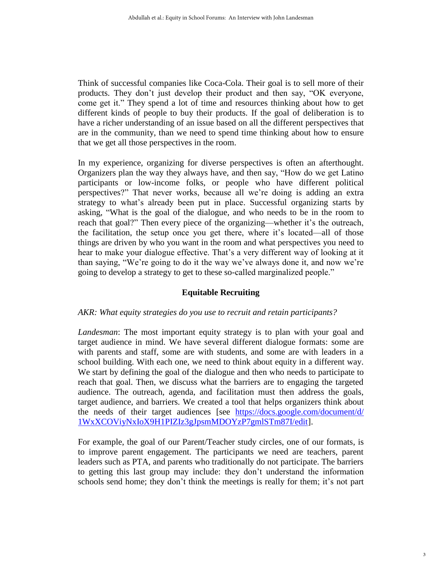Think of successful companies like Coca-Cola. Their goal is to sell more of their products. They don't just develop their product and then say, "OK everyone, come get it." They spend a lot of time and resources thinking about how to get different kinds of people to buy their products. If the goal of deliberation is to have a richer understanding of an issue based on all the different perspectives that are in the community, than we need to spend time thinking about how to ensure that we get all those perspectives in the room.

In my experience, organizing for diverse perspectives is often an afterthought. Organizers plan the way they always have, and then say, "How do we get Latino participants or low-income folks, or people who have different political perspectives?" That never works, because all we're doing is adding an extra strategy to what's already been put in place. Successful organizing starts by asking, "What is the goal of the dialogue, and who needs to be in the room to reach that goal?" Then every piece of the organizing—whether it's the outreach, the facilitation, the setup once you get there, where it's located—all of those things are driven by who you want in the room and what perspectives you need to hear to make your dialogue effective. That's a very different way of looking at it than saying, "We're going to do it the way we've always done it, and now we're going to develop a strategy to get to these so-called marginalized people."

#### **Equitable Recruiting**

#### *AKR: What equity strategies do you use to recruit and retain participants?*

*Landesman*: The most important equity strategy is to plan with your goal and target audience in mind. We have several different dialogue formats: some are with parents and staff, some are with students, and some are with leaders in a school building. With each one, we need to think about equity in a different way. We start by defining the goal of the dialogue and then who needs to participate to reach that goal. Then, we discuss what the barriers are to engaging the targeted audience. The outreach, agenda, and facilitation must then address the goals, target audience, and barriers. We created a tool that helps organizers think about the needs of their target audiences [see [https://docs.google.com/document/d/](https://docs.google.com/document/d/1WxXCOViyNxIoX9H1PIZIz3gJpsmMDOYzP7gmlSTm87I/edit) [1WxXCOViyNxIoX9H1PIZIz3gJpsmMDOYzP7gmlSTm87I/edit\]](https://docs.google.com/document/d/1WxXCOViyNxIoX9H1PIZIz3gJpsmMDOYzP7gmlSTm87I/edit).

For example, the goal of our Parent/Teacher study circles, one of our formats, is to improve parent engagement. The participants we need are teachers, parent leaders such as PTA, and parents who traditionally do not participate. The barriers to getting this last group may include: they don't understand the information schools send home; they don't think the meetings is really for them; it's not part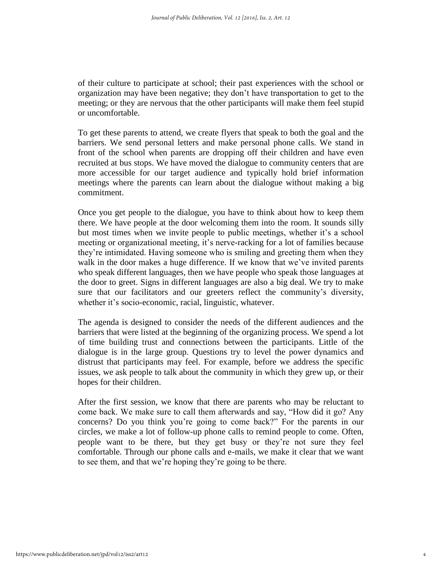of their culture to participate at school; their past experiences with the school or organization may have been negative; they don't have transportation to get to the meeting; or they are nervous that the other participants will make them feel stupid or uncomfortable.

To get these parents to attend, we create flyers that speak to both the goal and the barriers. We send personal letters and make personal phone calls. We stand in front of the school when parents are dropping off their children and have even recruited at bus stops. We have moved the dialogue to community centers that are more accessible for our target audience and typically hold brief information meetings where the parents can learn about the dialogue without making a big commitment.

Once you get people to the dialogue, you have to think about how to keep them there. We have people at the door welcoming them into the room. It sounds silly but most times when we invite people to public meetings, whether it's a school meeting or organizational meeting, it's nerve-racking for a lot of families because they're intimidated. Having someone who is smiling and greeting them when they walk in the door makes a huge difference. If we know that we've invited parents who speak different languages, then we have people who speak those languages at the door to greet. Signs in different languages are also a big deal. We try to make sure that our facilitators and our greeters reflect the community's diversity, whether it's socio-economic, racial, linguistic, whatever.

The agenda is designed to consider the needs of the different audiences and the barriers that were listed at the beginning of the organizing process. We spend a lot of time building trust and connections between the participants. Little of the dialogue is in the large group. Questions try to level the power dynamics and distrust that participants may feel. For example, before we address the specific issues, we ask people to talk about the community in which they grew up, or their hopes for their children.

After the first session, we know that there are parents who may be reluctant to come back. We make sure to call them afterwards and say, "How did it go? Any concerns? Do you think you're going to come back?" For the parents in our circles, we make a lot of follow-up phone calls to remind people to come. Often, people want to be there, but they get busy or they're not sure they feel comfortable. Through our phone calls and e-mails, we make it clear that we want to see them, and that we're hoping they're going to be there.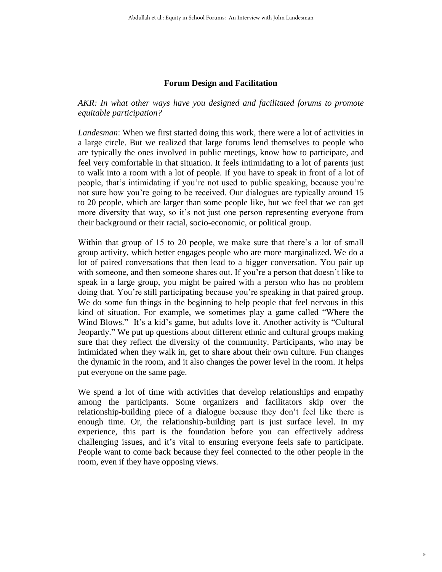#### **Forum Design and Facilitation**

*AKR: In what other ways have you designed and facilitated forums to promote equitable participation?*

*Landesman*: When we first started doing this work, there were a lot of activities in a large circle. But we realized that large forums lend themselves to people who are typically the ones involved in public meetings, know how to participate, and feel very comfortable in that situation. It feels intimidating to a lot of parents just to walk into a room with a lot of people. If you have to speak in front of a lot of people, that's intimidating if you're not used to public speaking, because you're not sure how you're going to be received. Our dialogues are typically around 15 to 20 people, which are larger than some people like, but we feel that we can get more diversity that way, so it's not just one person representing everyone from their background or their racial, socio-economic, or political group.

Within that group of 15 to 20 people, we make sure that there's a lot of small group activity, which better engages people who are more marginalized. We do a lot of paired conversations that then lead to a bigger conversation. You pair up with someone, and then someone shares out. If you're a person that doesn't like to speak in a large group, you might be paired with a person who has no problem doing that. You're still participating because you're speaking in that paired group. We do some fun things in the beginning to help people that feel nervous in this kind of situation. For example, we sometimes play a game called "Where the Wind Blows." It's a kid's game, but adults love it. Another activity is "Cultural" Jeopardy." We put up questions about different ethnic and cultural groups making sure that they reflect the diversity of the community. Participants, who may be intimidated when they walk in, get to share about their own culture. Fun changes the dynamic in the room, and it also changes the power level in the room. It helps put everyone on the same page.

We spend a lot of time with activities that develop relationships and empathy among the participants. Some organizers and facilitators skip over the relationship-building piece of a dialogue because they don't feel like there is enough time. Or, the relationship-building part is just surface level. In my experience, this part is the foundation before you can effectively address challenging issues, and it's vital to ensuring everyone feels safe to participate. People want to come back because they feel connected to the other people in the room, even if they have opposing views.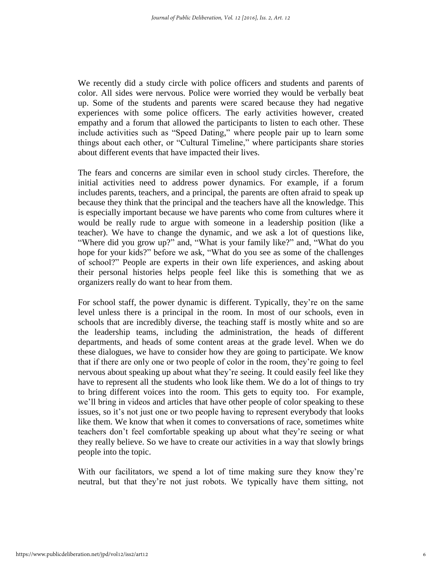We recently did a study circle with police officers and students and parents of color. All sides were nervous. Police were worried they would be verbally beat up. Some of the students and parents were scared because they had negative experiences with some police officers. The early activities however, created empathy and a forum that allowed the participants to listen to each other. These include activities such as "Speed Dating," where people pair up to learn some things about each other, or "Cultural Timeline," where participants share stories about different events that have impacted their lives.

The fears and concerns are similar even in school study circles. Therefore, the initial activities need to address power dynamics. For example, if a forum includes parents, teachers, and a principal, the parents are often afraid to speak up because they think that the principal and the teachers have all the knowledge. This is especially important because we have parents who come from cultures where it would be really rude to argue with someone in a leadership position (like a teacher). We have to change the dynamic, and we ask a lot of questions like, "Where did you grow up?" and, "What is your family like?" and, "What do you hope for your kids?" before we ask, "What do you see as some of the challenges of school?" People are experts in their own life experiences, and asking about their personal histories helps people feel like this is something that we as organizers really do want to hear from them.

For school staff, the power dynamic is different. Typically, they're on the same level unless there is a principal in the room. In most of our schools, even in schools that are incredibly diverse, the teaching staff is mostly white and so are the leadership teams, including the administration, the heads of different departments, and heads of some content areas at the grade level. When we do these dialogues, we have to consider how they are going to participate. We know that if there are only one or two people of color in the room, they're going to feel nervous about speaking up about what they're seeing. It could easily feel like they have to represent all the students who look like them. We do a lot of things to try to bring different voices into the room. This gets to equity too. For example, we'll bring in videos and articles that have other people of color speaking to these issues, so it's not just one or two people having to represent everybody that looks like them. We know that when it comes to conversations of race, sometimes white teachers don't feel comfortable speaking up about what they're seeing or what they really believe. So we have to create our activities in a way that slowly brings people into the topic.

With our facilitators, we spend a lot of time making sure they know they're neutral, but that they're not just robots. We typically have them sitting, not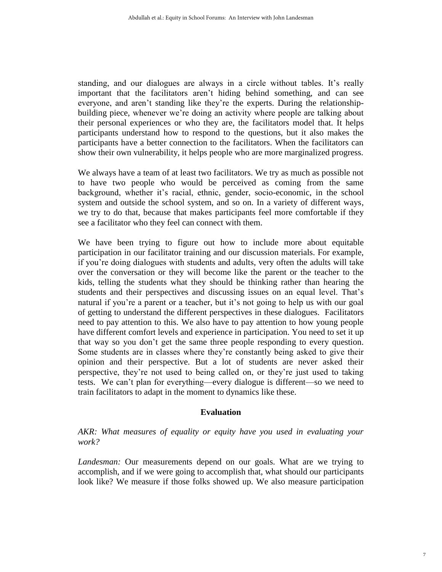standing, and our dialogues are always in a circle without tables. It's really important that the facilitators aren't hiding behind something, and can see everyone, and aren't standing like they're the experts. During the relationshipbuilding piece, whenever we're doing an activity where people are talking about their personal experiences or who they are, the facilitators model that. It helps participants understand how to respond to the questions, but it also makes the participants have a better connection to the facilitators. When the facilitators can show their own vulnerability, it helps people who are more marginalized progress.

We always have a team of at least two facilitators. We try as much as possible not to have two people who would be perceived as coming from the same background, whether it's racial, ethnic, gender, socio-economic, in the school system and outside the school system, and so on. In a variety of different ways, we try to do that, because that makes participants feel more comfortable if they see a facilitator who they feel can connect with them.

We have been trying to figure out how to include more about equitable participation in our facilitator training and our discussion materials. For example, if you're doing dialogues with students and adults, very often the adults will take over the conversation or they will become like the parent or the teacher to the kids, telling the students what they should be thinking rather than hearing the students and their perspectives and discussing issues on an equal level. That's natural if you're a parent or a teacher, but it's not going to help us with our goal of getting to understand the different perspectives in these dialogues. Facilitators need to pay attention to this. We also have to pay attention to how young people have different comfort levels and experience in participation. You need to set it up that way so you don't get the same three people responding to every question. Some students are in classes where they're constantly being asked to give their opinion and their perspective. But a lot of students are never asked their perspective, they're not used to being called on, or they're just used to taking tests. We can't plan for everything—every dialogue is different—so we need to train facilitators to adapt in the moment to dynamics like these.

#### **Evaluation**

#### *AKR: What measures of equality or equity have you used in evaluating your work?*

*Landesman:* Our measurements depend on our goals. What are we trying to accomplish, and if we were going to accomplish that, what should our participants look like? We measure if those folks showed up. We also measure participation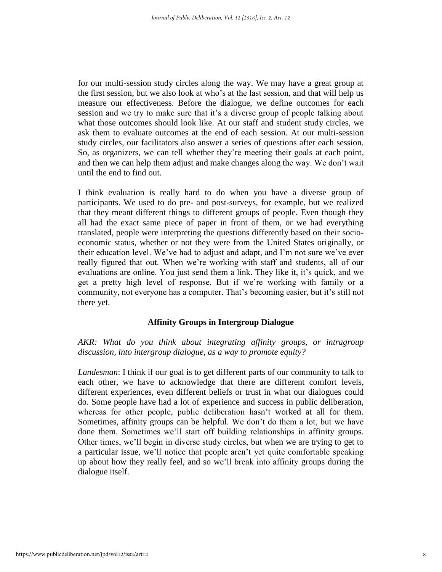for our multi-session study circles along the way. We may have a great group at the first session, but we also look at who's at the last session, and that will help us measure our effectiveness. Before the dialogue, we define outcomes for each session and we try to make sure that it's a diverse group of people talking about what those outcomes should look like. At our staff and student study circles, we ask them to evaluate outcomes at the end of each session. At our multi-session study circles, our facilitators also answer a series of questions after each session. So, as organizers, we can tell whether they're meeting their goals at each point, and then we can help them adjust and make changes along the way. We don't wait until the end to find out.

I think evaluation is really hard to do when you have a diverse group of participants. We used to do pre- and post-surveys, for example, but we realized that they meant different things to different groups of people. Even though they all had the exact same piece of paper in front of them, or we had everything translated, people were interpreting the questions differently based on their socioeconomic status, whether or not they were from the United States originally, or their education level. We've had to adjust and adapt, and I'm not sure we've ever really figured that out. When we're working with staff and students, all of our evaluations are online. You just send them a link. They like it, it's quick, and we get a pretty high level of response. But if we're working with family or a community, not everyone has a computer. That's becoming easier, but it's still not there yet.

#### **Affinity Groups in Intergroup Dialogue**

*AKR: What do you think about integrating affinity groups, or intragroup discussion, into intergroup dialogue, as a way to promote equity?*

*Landesman*: I think if our goal is to get different parts of our community to talk to each other, we have to acknowledge that there are different comfort levels, different experiences, even different beliefs or trust in what our dialogues could do. Some people have had a lot of experience and success in public deliberation, whereas for other people, public deliberation hasn't worked at all for them. Sometimes, affinity groups can be helpful. We don't do them a lot, but we have done them. Sometimes we'll start off building relationships in affinity groups. Other times, we'll begin in diverse study circles, but when we are trying to get to a particular issue, we'll notice that people aren't yet quite comfortable speaking up about how they really feel, and so we'll break into affinity groups during the dialogue itself.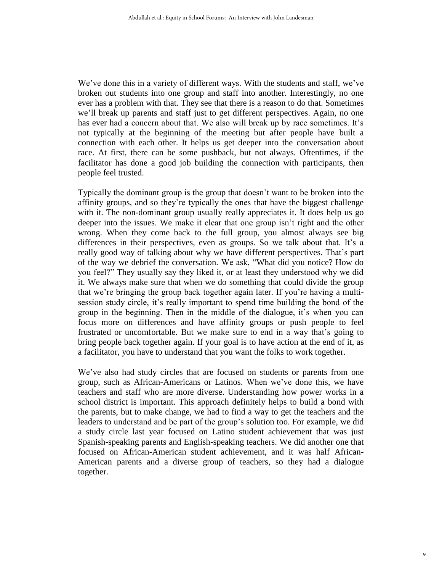We've done this in a variety of different ways. With the students and staff, we've broken out students into one group and staff into another. Interestingly, no one ever has a problem with that. They see that there is a reason to do that. Sometimes we'll break up parents and staff just to get different perspectives. Again, no one has ever had a concern about that. We also will break up by race sometimes. It's not typically at the beginning of the meeting but after people have built a connection with each other. It helps us get deeper into the conversation about race. At first, there can be some pushback, but not always. Oftentimes, if the facilitator has done a good job building the connection with participants, then people feel trusted.

Typically the dominant group is the group that doesn't want to be broken into the affinity groups, and so they're typically the ones that have the biggest challenge with it. The non-dominant group usually really appreciates it. It does help us go deeper into the issues. We make it clear that one group isn't right and the other wrong. When they come back to the full group, you almost always see big differences in their perspectives, even as groups. So we talk about that. It's a really good way of talking about why we have different perspectives. That's part of the way we debrief the conversation. We ask, "What did you notice? How do you feel?" They usually say they liked it, or at least they understood why we did it. We always make sure that when we do something that could divide the group that we're bringing the group back together again later. If you're having a multisession study circle, it's really important to spend time building the bond of the group in the beginning. Then in the middle of the dialogue, it's when you can focus more on differences and have affinity groups or push people to feel frustrated or uncomfortable. But we make sure to end in a way that's going to bring people back together again. If your goal is to have action at the end of it, as a facilitator, you have to understand that you want the folks to work together.

We've also had study circles that are focused on students or parents from one group, such as African-Americans or Latinos. When we've done this, we have teachers and staff who are more diverse. Understanding how power works in a school district is important. This approach definitely helps to build a bond with the parents, but to make change, we had to find a way to get the teachers and the leaders to understand and be part of the group's solution too. For example, we did a study circle last year focused on Latino student achievement that was just Spanish-speaking parents and English-speaking teachers. We did another one that focused on African-American student achievement, and it was half African-American parents and a diverse group of teachers, so they had a dialogue together.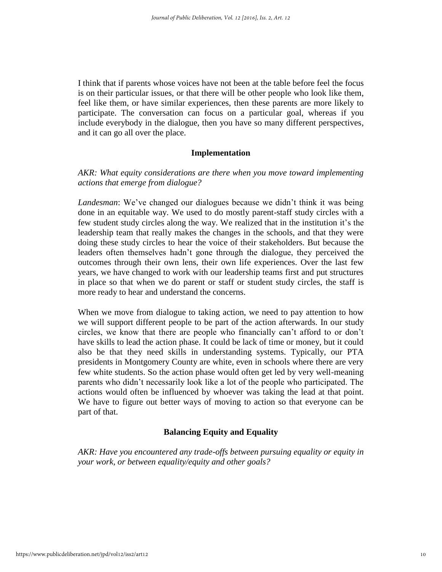I think that if parents whose voices have not been at the table before feel the focus is on their particular issues, or that there will be other people who look like them, feel like them, or have similar experiences, then these parents are more likely to participate. The conversation can focus on a particular goal, whereas if you include everybody in the dialogue, then you have so many different perspectives, and it can go all over the place.

#### **Implementation**

#### *AKR: What equity considerations are there when you move toward implementing actions that emerge from dialogue?*

*Landesman*: We've changed our dialogues because we didn't think it was being done in an equitable way. We used to do mostly parent-staff study circles with a few student study circles along the way. We realized that in the institution it's the leadership team that really makes the changes in the schools, and that they were doing these study circles to hear the voice of their stakeholders. But because the leaders often themselves hadn't gone through the dialogue, they perceived the outcomes through their own lens, their own life experiences. Over the last few years, we have changed to work with our leadership teams first and put structures in place so that when we do parent or staff or student study circles, the staff is more ready to hear and understand the concerns.

When we move from dialogue to taking action, we need to pay attention to how we will support different people to be part of the action afterwards. In our study circles, we know that there are people who financially can't afford to or don't have skills to lead the action phase. It could be lack of time or money, but it could also be that they need skills in understanding systems. Typically, our PTA presidents in Montgomery County are white, even in schools where there are very few white students. So the action phase would often get led by very well-meaning parents who didn't necessarily look like a lot of the people who participated. The actions would often be influenced by whoever was taking the lead at that point. We have to figure out better ways of moving to action so that everyone can be part of that.

#### **Balancing Equity and Equality**

*AKR: Have you encountered any trade-offs between pursuing equality or equity in your work, or between equality/equity and other goals?*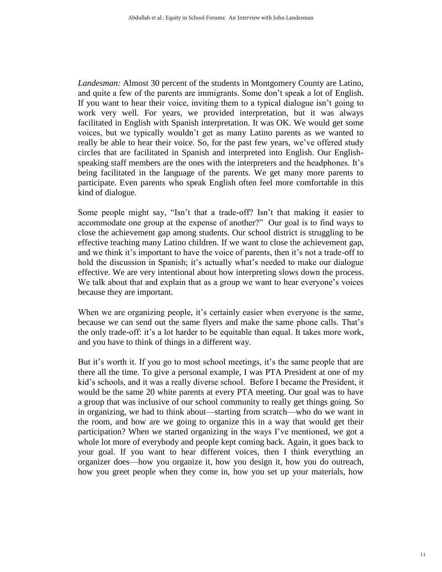*Landesman:* Almost 30 percent of the students in Montgomery County are Latino, and quite a few of the parents are immigrants. Some don't speak a lot of English. If you want to hear their voice, inviting them to a typical dialogue isn't going to work very well. For years, we provided interpretation, but it was always facilitated in English with Spanish interpretation. It was OK. We would get some voices, but we typically wouldn't get as many Latino parents as we wanted to really be able to hear their voice. So, for the past few years, we've offered study circles that are facilitated in Spanish and interpreted into English. Our Englishspeaking staff members are the ones with the interpreters and the headphones. It's being facilitated in the language of the parents. We get many more parents to participate. Even parents who speak English often feel more comfortable in this kind of dialogue.

Some people might say, "Isn't that a trade-off? Isn't that making it easier to accommodate one group at the expense of another?" Our goal is to find ways to close the achievement gap among students. Our school district is struggling to be effective teaching many Latino children. If we want to close the achievement gap, and we think it's important to have the voice of parents, then it's not a trade-off to hold the discussion in Spanish; it's actually what's needed to make our dialogue effective. We are very intentional about how interpreting slows down the process. We talk about that and explain that as a group we want to hear everyone's voices because they are important.

When we are organizing people, it's certainly easier when everyone is the same, because we can send out the same flyers and make the same phone calls. That's the only trade-off: it's a lot harder to be equitable than equal. It takes more work, and you have to think of things in a different way.

But it's worth it. If you go to most school meetings, it's the same people that are there all the time. To give a personal example, I was PTA President at one of my kid's schools, and it was a really diverse school. Before I became the President, it would be the same 20 white parents at every PTA meeting. Our goal was to have a group that was inclusive of our school community to really get things going. So in organizing, we had to think about—starting from scratch—who do we want in the room, and how are we going to organize this in a way that would get their participation? When we started organizing in the ways I've mentioned, we got a whole lot more of everybody and people kept coming back. Again, it goes back to your goal. If you want to hear different voices, then I think everything an organizer does—how you organize it, how you design it, how you do outreach, how you greet people when they come in, how you set up your materials, how